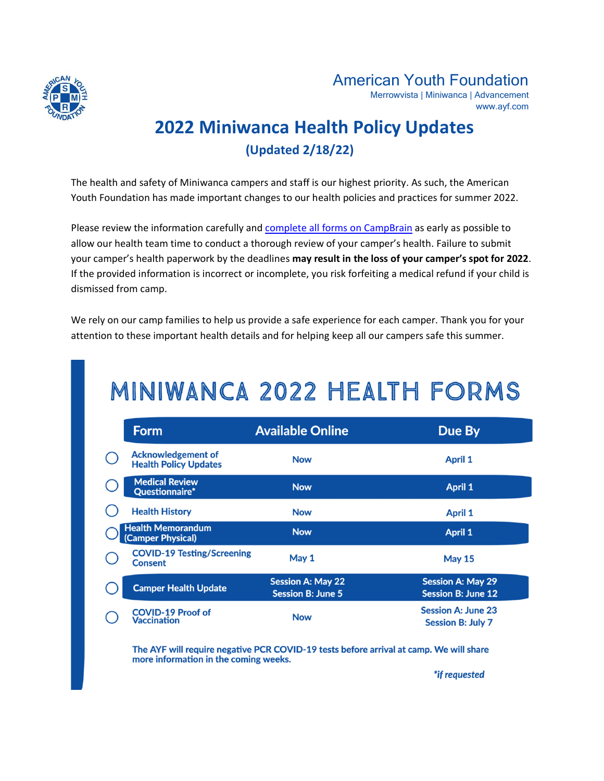

# American Youth Foundation

Merrowvista | Miniwanca | Advancement www.ayf.com

# **2022 Miniwanca Health Policy Updates (Updated 2/18/22)**

The health and safety of Miniwanca campers and staff is our highest priority. As such, the American Youth Foundation has made important changes to our health policies and practices for summer 2022.

Please review the information carefully and [complete all forms on CampBrain](https://miniwanca.campbrainregistration.com/) as early as possible to allow our health team time to conduct a thorough review of your camper's health. Failure to submit your camper's health paperwork by the deadlines **may result in the loss of your camper's spot for 2022**. If the provided information is incorrect or incomplete, you risk forfeiting a medical refund if your child is dismissed from camp.

We rely on our camp families to help us provide a safe experience for each camper. Thank you for your attention to these important health details and for helping keep all our campers safe this summer.

# MINIWANCA 2022 HEALTH FORMS

| <b>Form</b>                                               | <b>Available Online</b>                              | Due By                                                |
|-----------------------------------------------------------|------------------------------------------------------|-------------------------------------------------------|
| <b>Acknowledgement of</b><br><b>Health Policy Updates</b> | <b>Now</b>                                           | <b>April 1</b>                                        |
| <b>Medical Review</b><br>Questionnaire*                   | <b>Now</b>                                           | <b>April 1</b>                                        |
| <b>Health History</b>                                     | <b>Now</b>                                           | <b>April 1</b>                                        |
| <b>Health Memorandum</b><br>(Camper Physical)             | <b>Now</b>                                           | <b>April 1</b>                                        |
| <b>COVID-19 Testing/Screening</b><br><b>Consent</b>       | May 1                                                | <b>May 15</b>                                         |
| <b>Camper Health Update</b>                               | <b>Session A: May 22</b><br><b>Session B: June 5</b> | <b>Session A: May 29</b><br><b>Session B: June 12</b> |
| <b>COVID-19 Proof of</b><br>Vaccination                   | <b>Now</b>                                           | <b>Session A: June 23</b><br><b>Session B: July 7</b> |

The AYF will require negative PCR COVID-19 tests before arrival at camp. We will share more information in the coming weeks.

\*if requested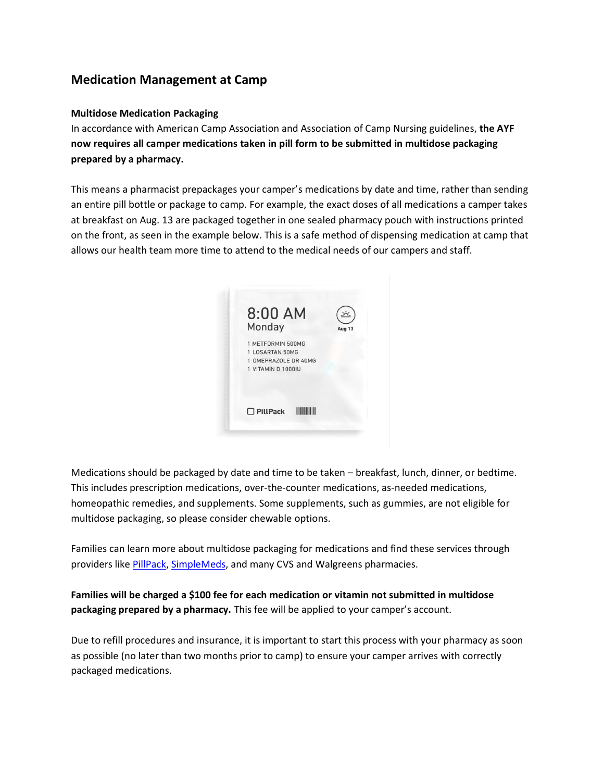# **Medication Management at Camp**

# **Multidose Medication Packaging**

In accordance with American Camp Association and Association of Camp Nursing guidelines, **the AYF now requires all camper medications taken in pill form to be submitted in multidose packaging prepared by a pharmacy.**

This means a pharmacist prepackages your camper's medications by date and time, rather than sending an entire pill bottle or package to camp. For example, the exact doses of all medications a camper takes at breakfast on Aug. 13 are packaged together in one sealed pharmacy pouch with instructions printed on the front, as seen in the example below. This is a safe method of dispensing medication at camp that allows our health team more time to attend to the medical needs of our campers and staff.



Medications should be packaged by date and time to be taken – breakfast, lunch, dinner, or bedtime. This includes prescription medications, over-the-counter medications, as-needed medications, homeopathic remedies, and supplements. Some supplements, such as gummies, are not eligible for multidose packaging, so please consider chewable options.

Families can learn more about multidose packaging for medications and find these services through providers like **PillPack**, [SimpleMeds,](https://www.simplemeds.com/) and many CVS and Walgreens pharmacies.

**Families will be charged a \$100 fee for each medication or vitamin not submitted in multidose packaging prepared by a pharmacy.** This fee will be applied to your camper's account.

Due to refill procedures and insurance, it is important to start this process with your pharmacy as soon as possible (no later than two months prior to camp) to ensure your camper arrives with correctly packaged medications.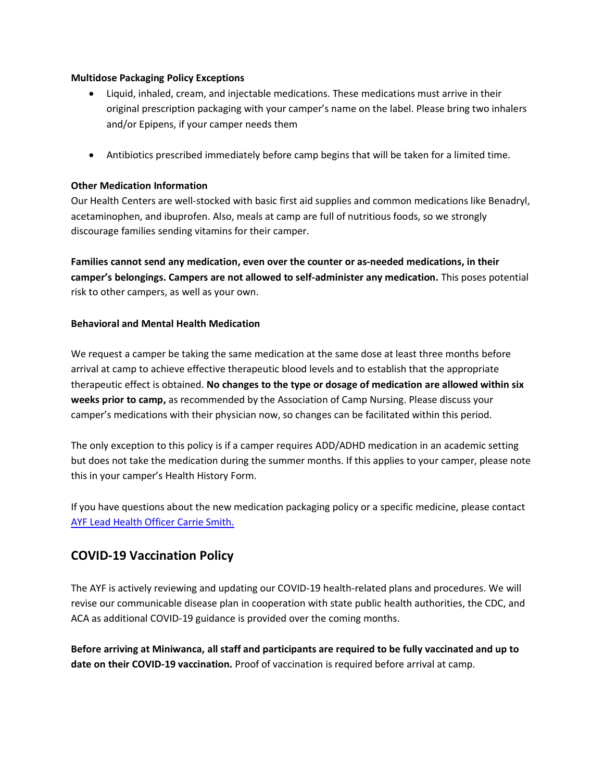# **Multidose Packaging Policy Exceptions**

- Liquid, inhaled, cream, and injectable medications. These medications must arrive in their original prescription packaging with your camper's name on the label. Please bring two inhalers and/or Epipens, if your camper needs them
- Antibiotics prescribed immediately before camp begins that will be taken for a limited time.

# **Other Medication Information**

Our Health Centers are well-stocked with basic first aid supplies and common medications like Benadryl, acetaminophen, and ibuprofen. Also, meals at camp are full of nutritious foods, so we strongly discourage families sending vitamins for their camper.

**Families cannot send any medication, even over the counter or as-needed medications, in their camper's belongings. Campers are not allowed to self-administer any medication.** This poses potential risk to other campers, as well as your own.

#### **Behavioral and Mental Health Medication**

We request a camper be taking the same medication at the same dose at least three months before arrival at camp to achieve effective therapeutic blood levels and to establish that the appropriate therapeutic effect is obtained. **No changes to the type or dosage of medication are allowed within six weeks prior to camp,** as recommended by the Association of Camp Nursing. Please discuss your camper's medications with their physician now, so changes can be facilitated within this period.

The only exception to this policy is if a camper requires ADD/ADHD medication in an academic setting but does not take the medication during the summer months. If this applies to your camper, please note this in your camper's Health History Form.

If you have questions about the new medication packaging policy or a specific medicine, please contact [AYF Lead Health Officer Carrie Smith.](mailto:csmith@ayf.com)

# **COVID-19 Vaccination Policy**

The AYF is actively reviewing and updating our COVID-19 health-related plans and procedures. We will revise our communicable disease plan in cooperation with state public health authorities, the CDC, and ACA as additional COVID-19 guidance is provided over the coming months.

**Before arriving at Miniwanca, all staff and participants are required to be fully vaccinated and up to date on their COVID-19 vaccination.** Proof of vaccination is required before arrival at camp.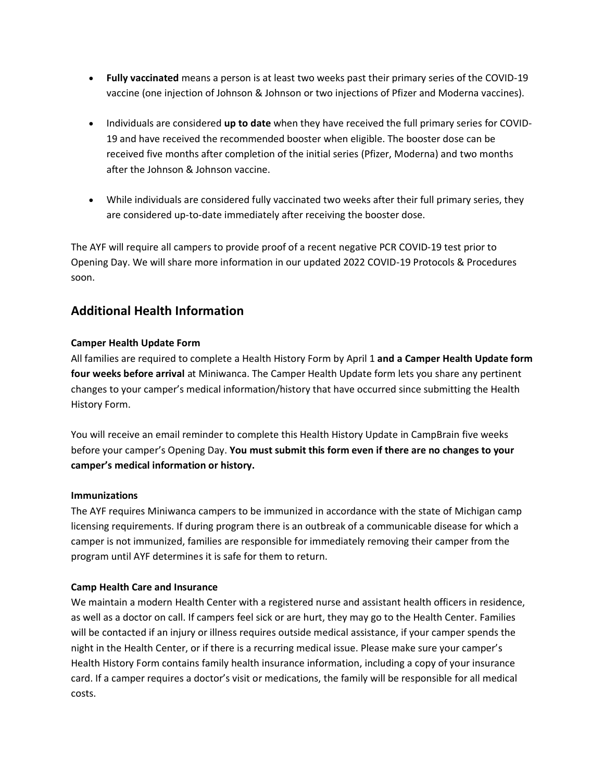- **Fully vaccinated** means a person is at least two weeks past their primary series of the COVID-19 vaccine (one injection of Johnson & Johnson or two injections of Pfizer and Moderna vaccines).
- Individuals are considered **up to date** when they have received the full primary series for COVID-19 and have received the recommended booster when eligible. The booster dose can be received five months after completion of the initial series (Pfizer, Moderna) and two months after the Johnson & Johnson vaccine.
- While individuals are considered fully vaccinated two weeks after their full primary series, they are considered up-to-date immediately after receiving the booster dose.

The AYF will require all campers to provide proof of a recent negative PCR COVID-19 test prior to Opening Day. We will share more information in our updated 2022 COVID-19 Protocols & Procedures soon.

# **Additional Health Information**

# **Camper Health Update Form**

All families are required to complete a Health History Form by April 1 **and a Camper Health Update form four weeks before arrival** at Miniwanca. The Camper Health Update form lets you share any pertinent changes to your camper's medical information/history that have occurred since submitting the Health History Form.

You will receive an email reminder to complete this Health History Update in CampBrain five weeks before your camper's Opening Day. **You must submit this form even if there are no changes to your camper's medical information or history.**

# **Immunizations**

The AYF requires Miniwanca campers to be immunized in accordance with the state of Michigan camp licensing requirements. If during program there is an outbreak of a communicable disease for which a camper is not immunized, families are responsible for immediately removing their camper from the program until AYF determines it is safe for them to return.

# **Camp Health Care and Insurance**

We maintain a modern Health Center with a registered nurse and assistant health officers in residence, as well as a doctor on call. If campers feel sick or are hurt, they may go to the Health Center. Families will be contacted if an injury or illness requires outside medical assistance, if your camper spends the night in the Health Center, or if there is a recurring medical issue. Please make sure your camper's Health History Form contains family health insurance information, including a copy of your insurance card. If a camper requires a doctor's visit or medications, the family will be responsible for all medical costs.